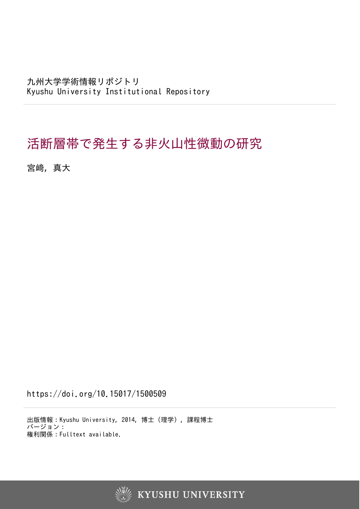九州大学学術情報リポジトリ Kyushu University Institutional Repository

## 活断層帯で発生する非火山性微動の研究

宮﨑, 真大

https://doi.org/10.15017/1500509

出版情報:Kyushu University, 2014, 博士(理学), 課程博士 バージョン: 権利関係:Fulltext available.

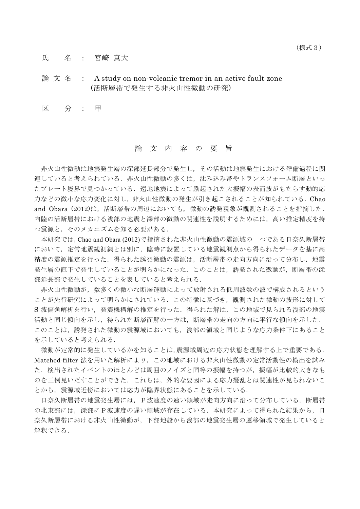氏 名 : 宮崎 真大

## 論 文 名 : A study on non-volcanic tremor in an active fault zone (活断層帯で発生する非火山性微動の研究)

区 分 : 甲

## 論 文 内 容 の 要 旨

非火山性微動は地震発生層の深部延長部分で発生し,その活動は地震発生における準備過程に関 連していると考えられている.非火山性微動の多くは,沈み込み帯やトランスフォーム断層といっ たプレート境界で見つかっている. 遠地地震によって励起された大振幅の表面波がもたらす動的応 力などの微小な応力変化に対し、非火山性微動の発生が引き起こされることが知られている. Chao and Obara (2012)は、活断層帯の周辺においても、微動の誘発現象が観測されることを指摘した. 内陸の活断層帯における浅部の地震と深部の微動の関連性を説明するためには,高い推定精度を持 つ震源と,そのメカニズムを知る必要がある.

本研究では,Chao and Obara (2012)で指摘された非火山性微動の震源域の一つである日奈久断層帯 において,定常地震観測網とは別に,臨時に設置している地震観測点から得られたデータを基に高 精度の震源推定を行った.得られた誘発微動の震源は,活断層帯の走向方向に沿って分布し,地震 発生層の直下で発生していることが明らかになった.このことは,誘発された微動が,断層帯の深 部延長部で発生していることを表していると考えられる.

非火山性微動が,数多くの微小な断層運動によって放射される低周波数の波で構成されるという ことが先行研究によって明らかにされている.この特徴に基づき,観測された微動の波形に対して S 波偏角解析を行い,発震機構解の推定を行った.得られた解は,この地域で見られる浅部の地震 活動と同じ傾向を示し,得られた断層面解の一方は,断層帯の走向の方向に平行な傾向を示した. このことは、誘発された微動の震源域においても、浅部の領域と同じような応力条件下にあること を示していると考えられる.

微動が定常的に発生しているかを知ることは,震源域周辺の応力状態を理解する上で重要である. Matched-filter 法を用いた解析により,この地域における非火山性微動の定常活動性の検出を試み た.検出されたイベントのほとんどは周囲のノイズと同等の振幅を持つが,振幅が比較的大きなも のを三例見いだすことができた.これらは,外的な要因による応力擾乱とは関連性が見られないこ とから,震源域近傍においては応力が臨界状態にあることを示している.

日奈久断層帯の地震発生層には、P波速度の速い領域が走向方向に沿って分布している.断層帯 の北東部には、深部にP波速度の遅い領域が存在している. 本研究によって得られた結果から, 日 奈久断層帯における非火山性微動が,下部地殻から浅部の地震発生層の遷移領域で発生していると 解釈できる.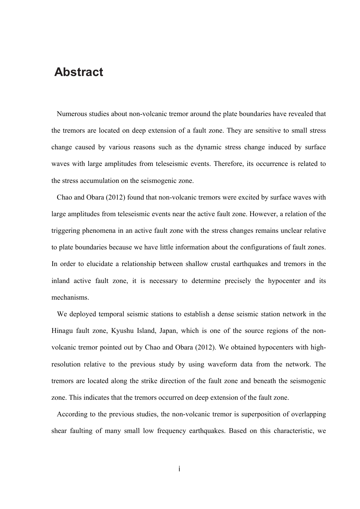## **Abstract**

 Numerous studies about non-volcanic tremor around the plate boundaries have revealed that the tremors are located on deep extension of a fault zone. They are sensitive to small stress change caused by various reasons such as the dynamic stress change induced by surface waves with large amplitudes from teleseismic events. Therefore, its occurrence is related to the stress accumulation on the seismogenic zone.

 Chao and Obara (2012) found that non-volcanic tremors were excited by surface waves with large amplitudes from teleseismic events near the active fault zone. However, a relation of the triggering phenomena in an active fault zone with the stress changes remains unclear relative to plate boundaries because we have little information about the configurations of fault zones. In order to elucidate a relationship between shallow crustal earthquakes and tremors in the inland active fault zone, it is necessary to determine precisely the hypocenter and its mechanisms.

 We deployed temporal seismic stations to establish a dense seismic station network in the Hinagu fault zone, Kyushu Island, Japan, which is one of the source regions of the nonvolcanic tremor pointed out by Chao and Obara (2012). We obtained hypocenters with highresolution relative to the previous study by using waveform data from the network. The tremors are located along the strike direction of the fault zone and beneath the seismogenic zone. This indicates that the tremors occurred on deep extension of the fault zone.

 According to the previous studies, the non-volcanic tremor is superposition of overlapping shear faulting of many small low frequency earthquakes. Based on this characteristic, we